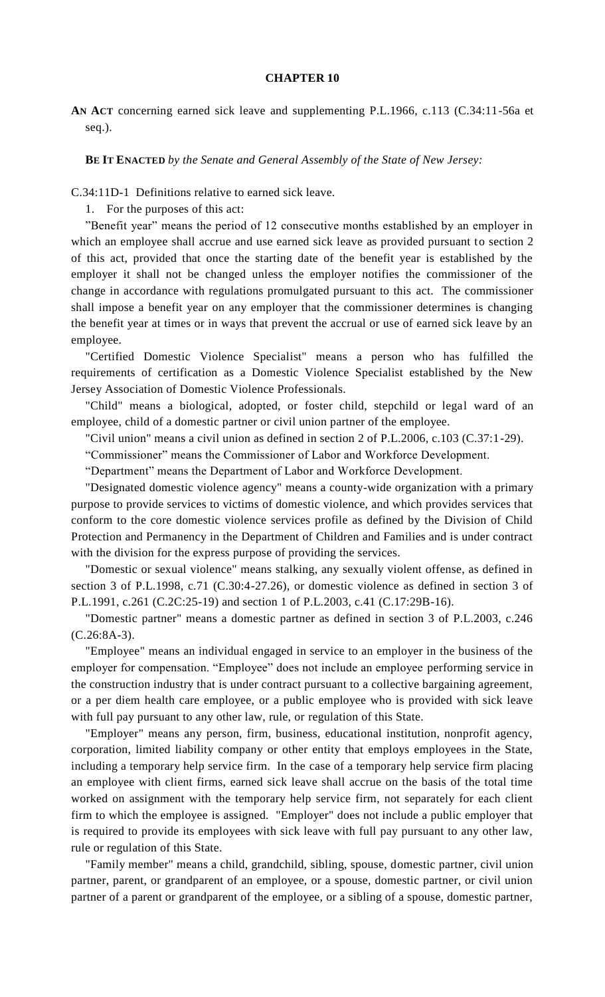## **CHAPTER 10**

**AN ACT** concerning earned sick leave and supplementing P.L.1966, c.113 (C.34:11-56a et seq.).

**BE IT ENACTED** *by the Senate and General Assembly of the State of New Jersey:*

C.34:11D-1 Definitions relative to earned sick leave.

1. For the purposes of this act:

"Benefit year" means the period of 12 consecutive months established by an employer in which an employee shall accrue and use earned sick leave as provided pursuant to section 2 of this act, provided that once the starting date of the benefit year is established by the employer it shall not be changed unless the employer notifies the commissioner of the change in accordance with regulations promulgated pursuant to this act. The commissioner shall impose a benefit year on any employer that the commissioner determines is changing the benefit year at times or in ways that prevent the accrual or use of earned sick leave by an employee.

"Certified Domestic Violence Specialist" means a person who has fulfilled the requirements of certification as a Domestic Violence Specialist established by the New Jersey Association of Domestic Violence Professionals.

"Child" means a biological, adopted, or foster child, stepchild or legal ward of an employee, child of a domestic partner or civil union partner of the employee.

"Civil union" means a civil union as defined in section 2 of P.L.2006, c.103 (C.37:1-29).

"Commissioner" means the Commissioner of Labor and Workforce Development.

"Department" means the Department of Labor and Workforce Development.

"Designated domestic violence agency" means a county-wide organization with a primary purpose to provide services to victims of domestic violence, and which provides services that conform to the core domestic violence services profile as defined by the Division of Child Protection and Permanency in the Department of Children and Families and is under contract with the division for the express purpose of providing the services.

"Domestic or sexual violence" means stalking, any sexually violent offense, as defined in section 3 of P.L.1998, c.71 (C.30:4-27.26), or domestic violence as defined in section 3 of P.L.1991, c.261 (C.2C:25-19) and section 1 of P.L.2003, c.41 (C.17:29B-16).

"Domestic partner" means a domestic partner as defined in section 3 of P.L.2003, c.246 (C.26:8A-3).

"Employee" means an individual engaged in service to an employer in the business of the employer for compensation. "Employee" does not include an employee performing service in the construction industry that is under contract pursuant to a collective bargaining agreement, or a per diem health care employee, or a public employee who is provided with sick leave with full pay pursuant to any other law, rule, or regulation of this State.

"Employer" means any person, firm, business, educational institution, nonprofit agency, corporation, limited liability company or other entity that employs employees in the State, including a temporary help service firm. In the case of a temporary help service firm placing an employee with client firms, earned sick leave shall accrue on the basis of the total time worked on assignment with the temporary help service firm, not separately for each client firm to which the employee is assigned. "Employer" does not include a public employer that is required to provide its employees with sick leave with full pay pursuant to any other law, rule or regulation of this State.

"Family member" means a child, grandchild, sibling, spouse, domestic partner, civil union partner, parent, or grandparent of an employee, or a spouse, domestic partner, or civil union partner of a parent or grandparent of the employee, or a sibling of a spouse, domestic partner,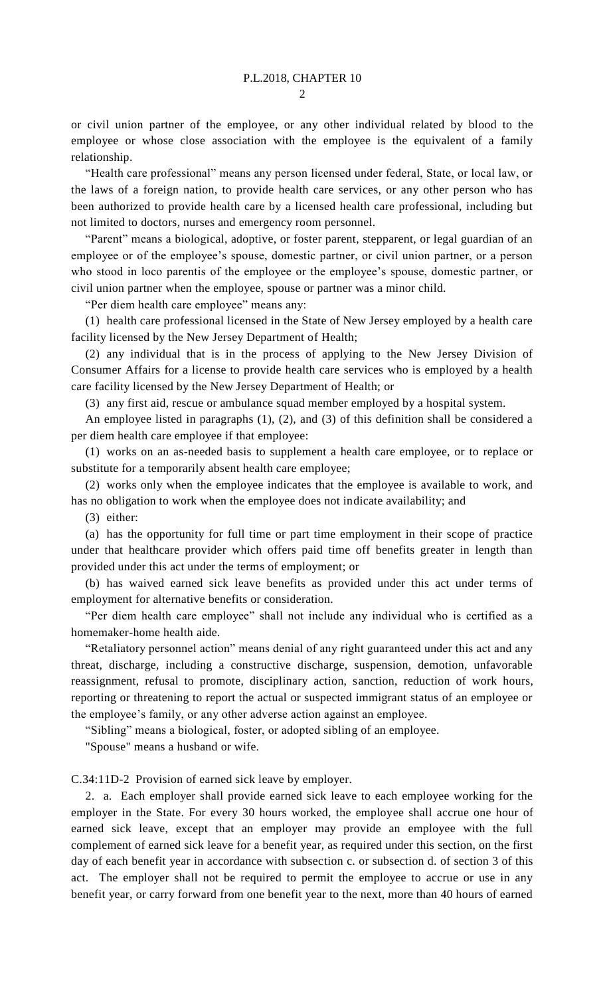or civil union partner of the employee, or any other individual related by blood to the employee or whose close association with the employee is the equivalent of a family relationship.

"Health care professional" means any person licensed under federal, State, or local law, or the laws of a foreign nation, to provide health care services, or any other person who has been authorized to provide health care by a licensed health care professional, including but not limited to doctors, nurses and emergency room personnel.

"Parent" means a biological, adoptive, or foster parent, stepparent, or legal guardian of an employee or of the employee's spouse, domestic partner, or civil union partner, or a person who stood in loco parentis of the employee or the employee's spouse, domestic partner, or civil union partner when the employee, spouse or partner was a minor child.

"Per diem health care employee" means any:

(1) health care professional licensed in the State of New Jersey employed by a health care facility licensed by the New Jersey Department of Health;

(2) any individual that is in the process of applying to the New Jersey Division of Consumer Affairs for a license to provide health care services who is employed by a health care facility licensed by the New Jersey Department of Health; or

(3) any first aid, rescue or ambulance squad member employed by a hospital system.

An employee listed in paragraphs (1), (2), and (3) of this definition shall be considered a per diem health care employee if that employee:

(1) works on an as-needed basis to supplement a health care employee, or to replace or substitute for a temporarily absent health care employee;

(2) works only when the employee indicates that the employee is available to work, and has no obligation to work when the employee does not indicate availability; and

(3) either:

(a) has the opportunity for full time or part time employment in their scope of practice under that healthcare provider which offers paid time off benefits greater in length than provided under this act under the terms of employment; or

(b) has waived earned sick leave benefits as provided under this act under terms of employment for alternative benefits or consideration.

"Per diem health care employee" shall not include any individual who is certified as a homemaker-home health aide.

"Retaliatory personnel action" means denial of any right guaranteed under this act and any threat, discharge, including a constructive discharge, suspension, demotion, unfavorable reassignment, refusal to promote, disciplinary action, sanction, reduction of work hours, reporting or threatening to report the actual or suspected immigrant status of an employee or the employee's family, or any other adverse action against an employee.

"Sibling" means a biological, foster, or adopted sibling of an employee.

"Spouse" means a husband or wife.

C.34:11D-2 Provision of earned sick leave by employer.

2. a. Each employer shall provide earned sick leave to each employee working for the employer in the State. For every 30 hours worked, the employee shall accrue one hour of earned sick leave, except that an employer may provide an employee with the full complement of earned sick leave for a benefit year, as required under this section, on the first day of each benefit year in accordance with subsection c. or subsection d. of section 3 of this act. The employer shall not be required to permit the employee to accrue or use in any benefit year, or carry forward from one benefit year to the next, more than 40 hours of earned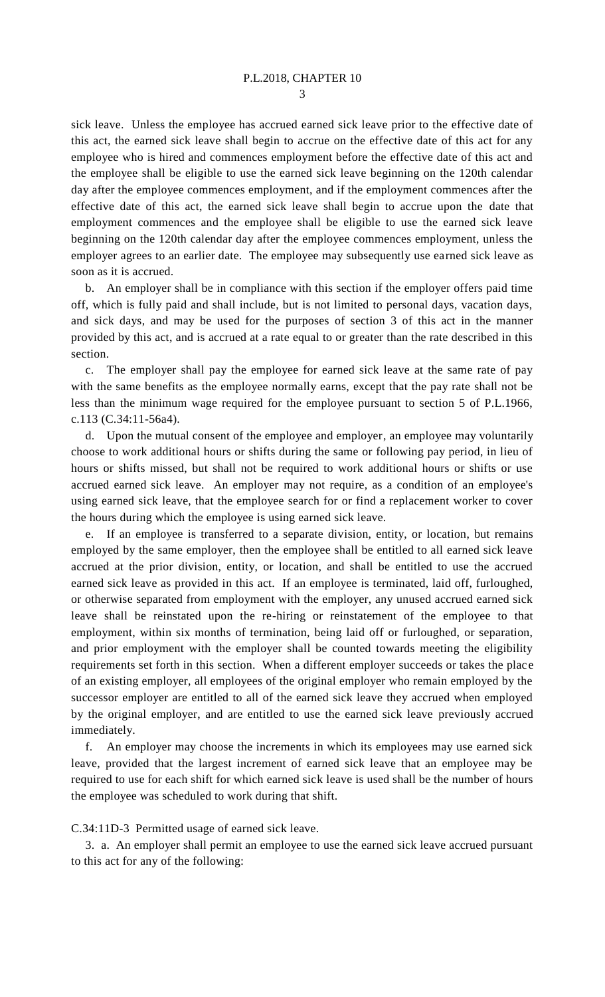sick leave. Unless the employee has accrued earned sick leave prior to the effective date of this act, the earned sick leave shall begin to accrue on the effective date of this act for any employee who is hired and commences employment before the effective date of this act and the employee shall be eligible to use the earned sick leave beginning on the 120th calendar day after the employee commences employment, and if the employment commences after the effective date of this act, the earned sick leave shall begin to accrue upon the date that employment commences and the employee shall be eligible to use the earned sick leave beginning on the 120th calendar day after the employee commences employment, unless the employer agrees to an earlier date. The employee may subsequently use earned sick leave as soon as it is accrued.

b. An employer shall be in compliance with this section if the employer offers paid time off, which is fully paid and shall include, but is not limited to personal days, vacation days, and sick days, and may be used for the purposes of section 3 of this act in the manner provided by this act, and is accrued at a rate equal to or greater than the rate described in this section.

c. The employer shall pay the employee for earned sick leave at the same rate of pay with the same benefits as the employee normally earns, except that the pay rate shall not be less than the minimum wage required for the employee pursuant to section 5 of P.L.1966, c.113 (C.34:11-56a4).

d. Upon the mutual consent of the employee and employer, an employee may voluntarily choose to work additional hours or shifts during the same or following pay period, in lieu of hours or shifts missed, but shall not be required to work additional hours or shifts or use accrued earned sick leave. An employer may not require, as a condition of an employee's using earned sick leave, that the employee search for or find a replacement worker to cover the hours during which the employee is using earned sick leave.

e. If an employee is transferred to a separate division, entity, or location, but remains employed by the same employer, then the employee shall be entitled to all earned sick leave accrued at the prior division, entity, or location, and shall be entitled to use the accrued earned sick leave as provided in this act. If an employee is terminated, laid off, furloughed, or otherwise separated from employment with the employer, any unused accrued earned sick leave shall be reinstated upon the re-hiring or reinstatement of the employee to that employment, within six months of termination, being laid off or furloughed, or separation, and prior employment with the employer shall be counted towards meeting the eligibility requirements set forth in this section. When a different employer succeeds or takes the place of an existing employer, all employees of the original employer who remain employed by the successor employer are entitled to all of the earned sick leave they accrued when employed by the original employer, and are entitled to use the earned sick leave previously accrued immediately.

f. An employer may choose the increments in which its employees may use earned sick leave, provided that the largest increment of earned sick leave that an employee may be required to use for each shift for which earned sick leave is used shall be the number of hours the employee was scheduled to work during that shift.

## C.34:11D-3 Permitted usage of earned sick leave.

3. a. An employer shall permit an employee to use the earned sick leave accrued pursuant to this act for any of the following: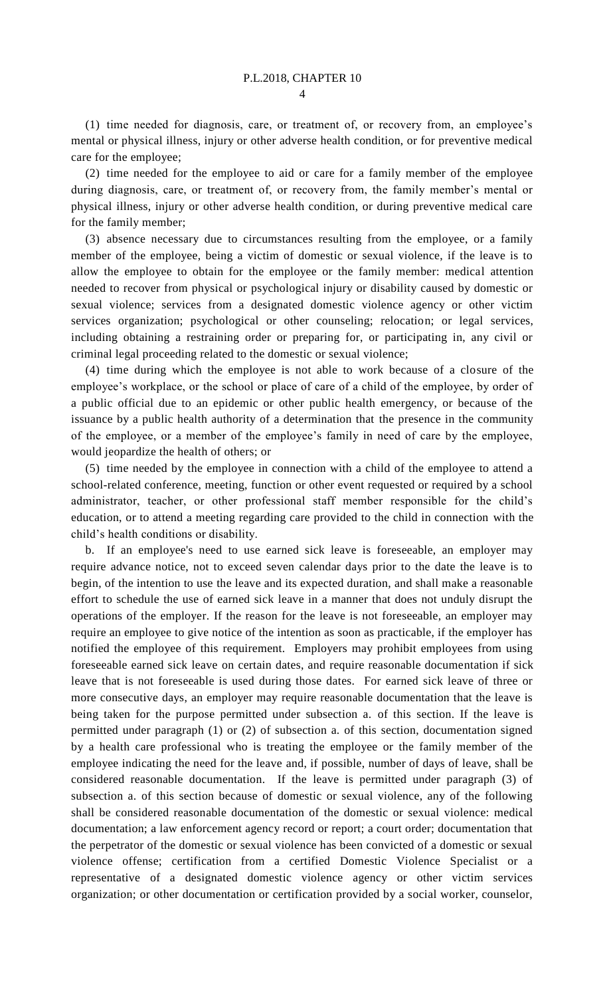(1) time needed for diagnosis, care, or treatment of, or recovery from, an employee's mental or physical illness, injury or other adverse health condition, or for preventive medical care for the employee;

(2) time needed for the employee to aid or care for a family member of the employee during diagnosis, care, or treatment of, or recovery from, the family member's mental or physical illness, injury or other adverse health condition, or during preventive medical care for the family member;

(3) absence necessary due to circumstances resulting from the employee, or a family member of the employee, being a victim of domestic or sexual violence, if the leave is to allow the employee to obtain for the employee or the family member: medical attention needed to recover from physical or psychological injury or disability caused by domestic or sexual violence; services from a designated domestic violence agency or other victim services organization; psychological or other counseling; relocation; or legal services, including obtaining a restraining order or preparing for, or participating in, any civil or criminal legal proceeding related to the domestic or sexual violence;

(4) time during which the employee is not able to work because of a closure of the employee's workplace, or the school or place of care of a child of the employee, by order of a public official due to an epidemic or other public health emergency, or because of the issuance by a public health authority of a determination that the presence in the community of the employee, or a member of the employee's family in need of care by the employee, would jeopardize the health of others; or

(5) time needed by the employee in connection with a child of the employee to attend a school-related conference, meeting, function or other event requested or required by a school administrator, teacher, or other professional staff member responsible for the child's education, or to attend a meeting regarding care provided to the child in connection with the child's health conditions or disability.

b. If an employee's need to use earned sick leave is foreseeable, an employer may require advance notice, not to exceed seven calendar days prior to the date the leave is to begin, of the intention to use the leave and its expected duration, and shall make a reasonable effort to schedule the use of earned sick leave in a manner that does not unduly disrupt the operations of the employer. If the reason for the leave is not foreseeable, an employer may require an employee to give notice of the intention as soon as practicable, if the employer has notified the employee of this requirement. Employers may prohibit employees from using foreseeable earned sick leave on certain dates, and require reasonable documentation if sick leave that is not foreseeable is used during those dates. For earned sick leave of three or more consecutive days, an employer may require reasonable documentation that the leave is being taken for the purpose permitted under subsection a. of this section. If the leave is permitted under paragraph (1) or (2) of subsection a. of this section, documentation signed by a health care professional who is treating the employee or the family member of the employee indicating the need for the leave and, if possible, number of days of leave, shall be considered reasonable documentation. If the leave is permitted under paragraph (3) of subsection a. of this section because of domestic or sexual violence, any of the following shall be considered reasonable documentation of the domestic or sexual violence: medical documentation; a law enforcement agency record or report; a court order; documentation that the perpetrator of the domestic or sexual violence has been convicted of a domestic or sexual violence offense; certification from a certified Domestic Violence Specialist or a representative of a designated domestic violence agency or other victim services organization; or other documentation or certification provided by a social worker, counselor,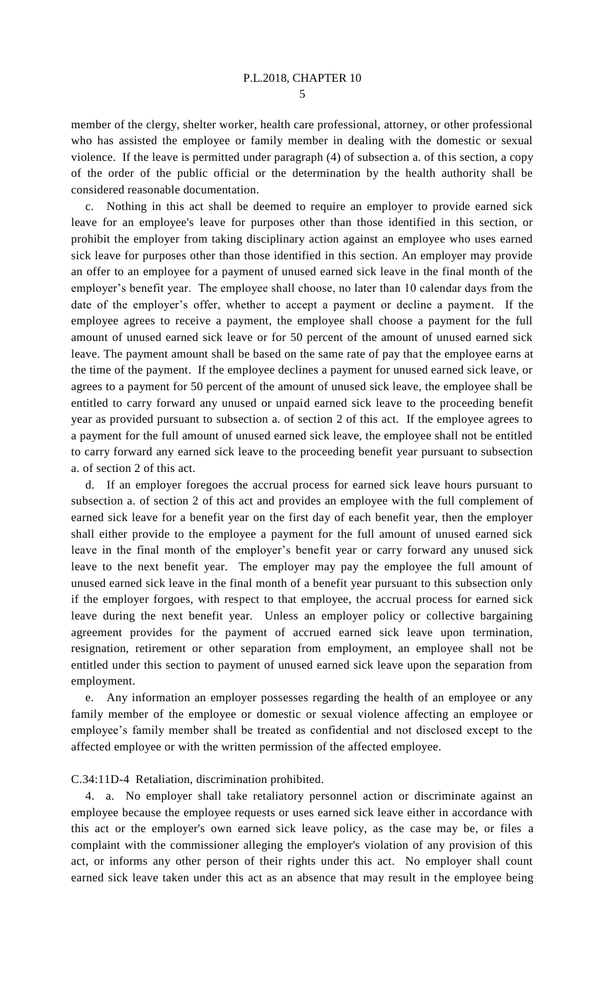member of the clergy, shelter worker, health care professional, attorney, or other professional who has assisted the employee or family member in dealing with the domestic or sexual violence. If the leave is permitted under paragraph (4) of subsection a. of this section, a copy of the order of the public official or the determination by the health authority shall be considered reasonable documentation.

c. Nothing in this act shall be deemed to require an employer to provide earned sick leave for an employee's leave for purposes other than those identified in this section, or prohibit the employer from taking disciplinary action against an employee who uses earned sick leave for purposes other than those identified in this section. An employer may provide an offer to an employee for a payment of unused earned sick leave in the final month of the employer's benefit year. The employee shall choose, no later than 10 calendar days from the date of the employer's offer, whether to accept a payment or decline a payment. If the employee agrees to receive a payment, the employee shall choose a payment for the full amount of unused earned sick leave or for 50 percent of the amount of unused earned sick leave. The payment amount shall be based on the same rate of pay that the employee earns at the time of the payment. If the employee declines a payment for unused earned sick leave, or agrees to a payment for 50 percent of the amount of unused sick leave, the employee shall be entitled to carry forward any unused or unpaid earned sick leave to the proceeding benefit year as provided pursuant to subsection a. of section 2 of this act. If the employee agrees to a payment for the full amount of unused earned sick leave, the employee shall not be entitled to carry forward any earned sick leave to the proceeding benefit year pursuant to subsection a. of section 2 of this act.

d. If an employer foregoes the accrual process for earned sick leave hours pursuant to subsection a. of section 2 of this act and provides an employee with the full complement of earned sick leave for a benefit year on the first day of each benefit year, then the employer shall either provide to the employee a payment for the full amount of unused earned sick leave in the final month of the employer's benefit year or carry forward any unused sick leave to the next benefit year. The employer may pay the employee the full amount of unused earned sick leave in the final month of a benefit year pursuant to this subsection only if the employer forgoes, with respect to that employee, the accrual process for earned sick leave during the next benefit year. Unless an employer policy or collective bargaining agreement provides for the payment of accrued earned sick leave upon termination, resignation, retirement or other separation from employment, an employee shall not be entitled under this section to payment of unused earned sick leave upon the separation from employment.

e. Any information an employer possesses regarding the health of an employee or any family member of the employee or domestic or sexual violence affecting an employee or employee's family member shall be treated as confidential and not disclosed except to the affected employee or with the written permission of the affected employee.

C.34:11D-4 Retaliation, discrimination prohibited.

4. a. No employer shall take retaliatory personnel action or discriminate against an employee because the employee requests or uses earned sick leave either in accordance with this act or the employer's own earned sick leave policy, as the case may be, or files a complaint with the commissioner alleging the employer's violation of any provision of this act, or informs any other person of their rights under this act. No employer shall count earned sick leave taken under this act as an absence that may result in the employee being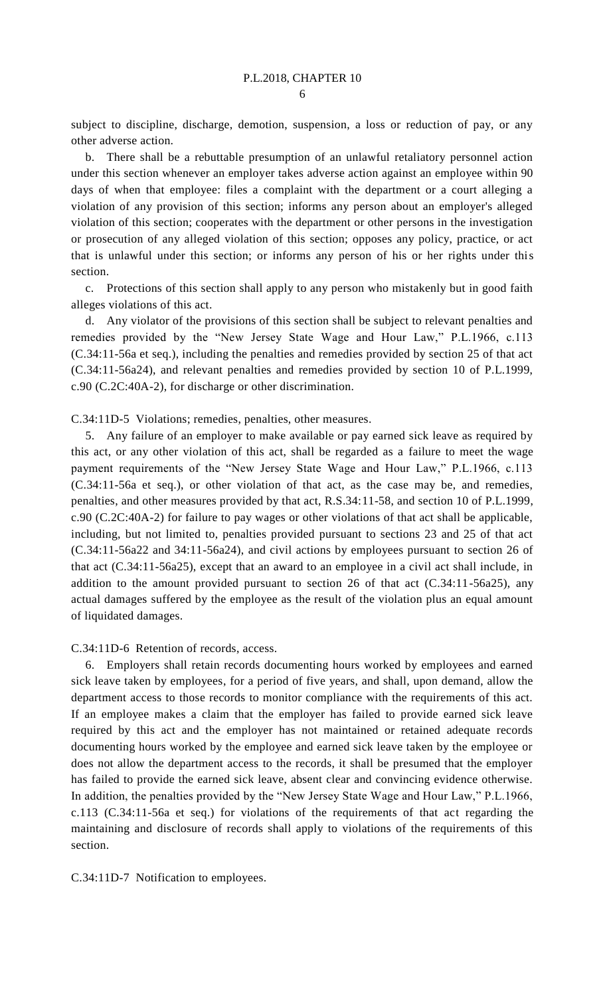subject to discipline, discharge, demotion, suspension, a loss or reduction of pay, or any other adverse action.

b. There shall be a rebuttable presumption of an unlawful retaliatory personnel action under this section whenever an employer takes adverse action against an employee within 90 days of when that employee: files a complaint with the department or a court alleging a violation of any provision of this section; informs any person about an employer's alleged violation of this section; cooperates with the department or other persons in the investigation or prosecution of any alleged violation of this section; opposes any policy, practice, or act that is unlawful under this section; or informs any person of his or her rights under this section.

c. Protections of this section shall apply to any person who mistakenly but in good faith alleges violations of this act.

d. Any violator of the provisions of this section shall be subject to relevant penalties and remedies provided by the "New Jersey State Wage and Hour Law," P.L.1966, c.113 (C.34:11-56a et seq.), including the penalties and remedies provided by section 25 of that act (C.34:11-56a24), and relevant penalties and remedies provided by section 10 of P.L.1999, c.90 (C.2C:40A-2), for discharge or other discrimination.

C.34:11D-5 Violations; remedies, penalties, other measures.

5. Any failure of an employer to make available or pay earned sick leave as required by this act, or any other violation of this act, shall be regarded as a failure to meet the wage payment requirements of the "New Jersey State Wage and Hour Law," P.L.1966, c.113 (C.34:11-56a et seq.), or other violation of that act, as the case may be, and remedies, penalties, and other measures provided by that act, R.S.34:11-58, and section 10 of P.L.1999, c.90 (C.2C:40A-2) for failure to pay wages or other violations of that act shall be applicable, including, but not limited to, penalties provided pursuant to sections 23 and 25 of that act (C.34:11-56a22 and 34:11-56a24), and civil actions by employees pursuant to section 26 of that act (C.34:11-56a25), except that an award to an employee in a civil act shall include, in addition to the amount provided pursuant to section 26 of that act  $(C.34:11-56a25)$ , any actual damages suffered by the employee as the result of the violation plus an equal amount of liquidated damages.

## C.34:11D-6 Retention of records, access.

6. Employers shall retain records documenting hours worked by employees and earned sick leave taken by employees, for a period of five years, and shall, upon demand, allow the department access to those records to monitor compliance with the requirements of this act. If an employee makes a claim that the employer has failed to provide earned sick leave required by this act and the employer has not maintained or retained adequate records documenting hours worked by the employee and earned sick leave taken by the employee or does not allow the department access to the records, it shall be presumed that the employer has failed to provide the earned sick leave, absent clear and convincing evidence otherwise. In addition, the penalties provided by the "New Jersey State Wage and Hour Law," P.L.1966, c.113 (C.34:11-56a et seq.) for violations of the requirements of that act regarding the maintaining and disclosure of records shall apply to violations of the requirements of this section.

C.34:11D-7 Notification to employees.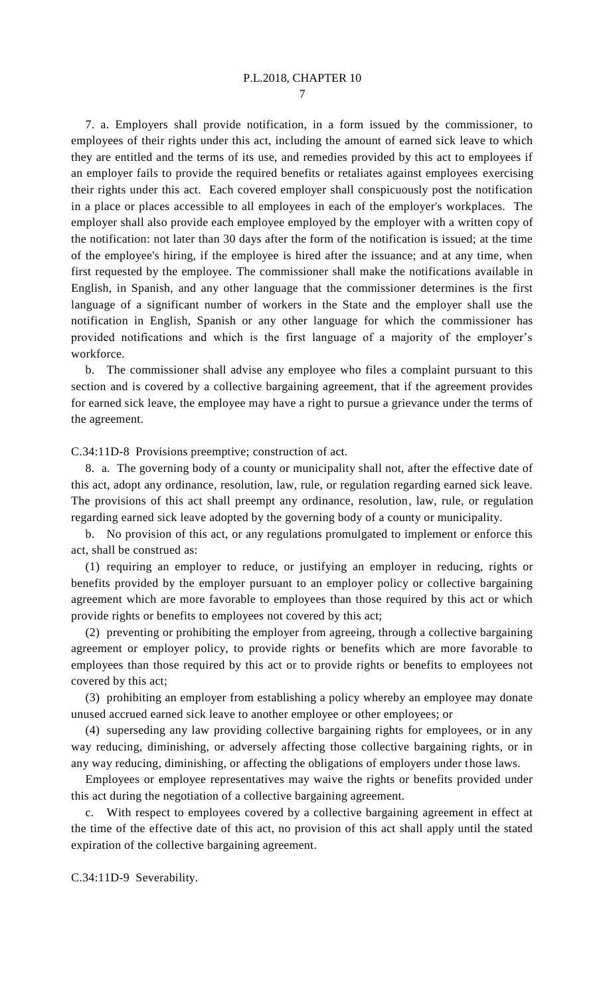## P.L.2018, CHAPTER 10

7

7. a. Employers shall provide notification, in a form issued by the commissioner, to employees of their rights under this act, including the amount of earned sick leave to which they are entitled and the terms of its use, and remedies provided by this act to employees if an employer fails to provide the required benefits or retaliates against employees exercising their rights under this act. Each covered employer shall conspicuously post the notification in a place or places accessible to all employees in each of the employer's workplaces. The employer shall also provide each employee employed by the employer with a written copy of the notification: not later than 30 days after the form of the notification is issued; at the time of the employee's hiring, if the employee is hired after the issuance; and at any time, when first requested by the employee. The commissioner shall make the notifications available in English, in Spanish, and any other language that the commissioner determines is the first language of a significant number of workers in the State and the employer shall use the notification in English, Spanish or any other language for which the commissioner has provided notifications and which is the first language of a majority of the employer's workforce.

b. The commissioner shall advise any employee who files a complaint pursuant to this section and is covered by a collective bargaining agreement, that if the agreement provides for earned sick leave, the employee may have a right to pursue a grievance under the terms of the agreement.

C.34:11D-8 Provisions preemptive; construction of act.

8. a. The governing body of a county or municipality shall not, after the effective date of this act, adopt any ordinance, resolution, law, rule, or regulation regarding earned sick leave. The provisions of this act shall preempt any ordinance, resolution, law, rule, or regulation regarding earned sick leave adopted by the governing body of a county or municipality.

b. No provision of this act, or any regulations promulgated to implement or enforce this act, shall be construed as:

(1) requiring an employer to reduce, or justifying an employer in reducing, rights or benefits provided by the employer pursuant to an employer policy or collective bargaining agreement which are more favorable to employees than those required by this act or which provide rights or benefits to employees not covered by this act;

(2) preventing or prohibiting the employer from agreeing, through a collective bargaining agreement or employer policy, to provide rights or benefits which are more favorable to employees than those required by this act or to provide rights or benefits to employees not covered by this act;

(3) prohibiting an employer from establishing a policy whereby an employee may donate unused accrued earned sick leave to another employee or other employees; or

(4) superseding any law providing collective bargaining rights for employees, or in any way reducing, diminishing, or adversely affecting those collective bargaining rights, or in any way reducing, diminishing, or affecting the obligations of employers under those laws.

Employees or employee representatives may waive the rights or benefits provided under this act during the negotiation of a collective bargaining agreement.

c. With respect to employees covered by a collective bargaining agreement in effect at the time of the effective date of this act, no provision of this act shall apply until the stated expiration of the collective bargaining agreement.

C.34:11D-9 Severability.